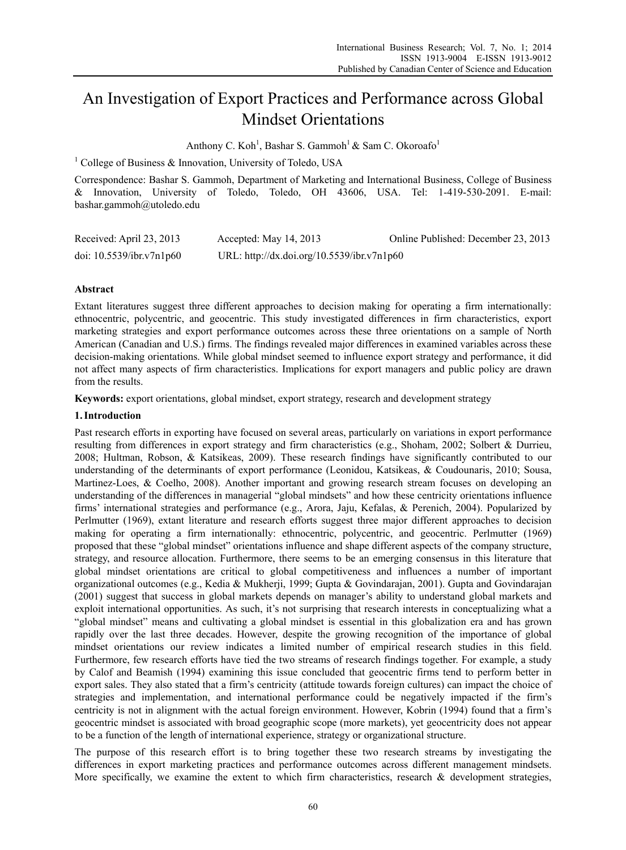# An Investigation of Export Practices and Performance across Global Mindset Orientations

Anthony C. Koh<sup>1</sup>, Bashar S. Gammoh<sup>1</sup> & Sam C. Okoroafo<sup>1</sup>

<sup>1</sup> College of Business & Innovation, University of Toledo, USA

Correspondence: Bashar S. Gammoh, Department of Marketing and International Business, College of Business & Innovation, University of Toledo, Toledo, OH 43606, USA. Tel: 1-419-530-2091. E-mail: bashar.gammoh@utoledo.edu

| Received: April 23, 2013    | Accepted: May $14, 2013$                   | Online Published: December 23, 2013 |
|-----------------------------|--------------------------------------------|-------------------------------------|
| doi: $10.5539$ /ibr.v7n1p60 | URL: http://dx.doi.org/10.5539/ibr.v7n1p60 |                                     |

# **Abstract**

Extant literatures suggest three different approaches to decision making for operating a firm internationally: ethnocentric, polycentric, and geocentric. This study investigated differences in firm characteristics, export marketing strategies and export performance outcomes across these three orientations on a sample of North American (Canadian and U.S.) firms. The findings revealed major differences in examined variables across these decision-making orientations. While global mindset seemed to influence export strategy and performance, it did not affect many aspects of firm characteristics. Implications for export managers and public policy are drawn from the results.

**Keywords:** export orientations, global mindset, export strategy, research and development strategy

## **1.Introduction**

Past research efforts in exporting have focused on several areas, particularly on variations in export performance resulting from differences in export strategy and firm characteristics (e.g., Shoham, 2002; Solbert & Durrieu, 2008; Hultman, Robson, & Katsikeas, 2009). These research findings have significantly contributed to our understanding of the determinants of export performance (Leonidou, Katsikeas, & Coudounaris, 2010; Sousa, Martinez-Loes, & Coelho, 2008). Another important and growing research stream focuses on developing an understanding of the differences in managerial "global mindsets" and how these centricity orientations influence firms' international strategies and performance (e.g., Arora, Jaju, Kefalas, & Perenich, 2004). Popularized by Perlmutter (1969), extant literature and research efforts suggest three major different approaches to decision making for operating a firm internationally: ethnocentric, polycentric, and geocentric. Perlmutter (1969) proposed that these "global mindset" orientations influence and shape different aspects of the company structure, strategy, and resource allocation. Furthermore, there seems to be an emerging consensus in this literature that global mindset orientations are critical to global competitiveness and influences a number of important organizational outcomes (e.g., Kedia & Mukherji, 1999; Gupta & Govindarajan, 2001). Gupta and Govindarajan (2001) suggest that success in global markets depends on manager's ability to understand global markets and exploit international opportunities. As such, it's not surprising that research interests in conceptualizing what a "global mindset" means and cultivating a global mindset is essential in this globalization era and has grown rapidly over the last three decades. However, despite the growing recognition of the importance of global mindset orientations our review indicates a limited number of empirical research studies in this field. Furthermore, few research efforts have tied the two streams of research findings together. For example, a study by Calof and Beamish (1994) examining this issue concluded that geocentric firms tend to perform better in export sales. They also stated that a firm's centricity (attitude towards foreign cultures) can impact the choice of strategies and implementation, and international performance could be negatively impacted if the firm's centricity is not in alignment with the actual foreign environment. However, Kobrin (1994) found that a firm's geocentric mindset is associated with broad geographic scope (more markets), yet geocentricity does not appear to be a function of the length of international experience, strategy or organizational structure.

The purpose of this research effort is to bring together these two research streams by investigating the differences in export marketing practices and performance outcomes across different management mindsets. More specifically, we examine the extent to which firm characteristics, research  $\&$  development strategies,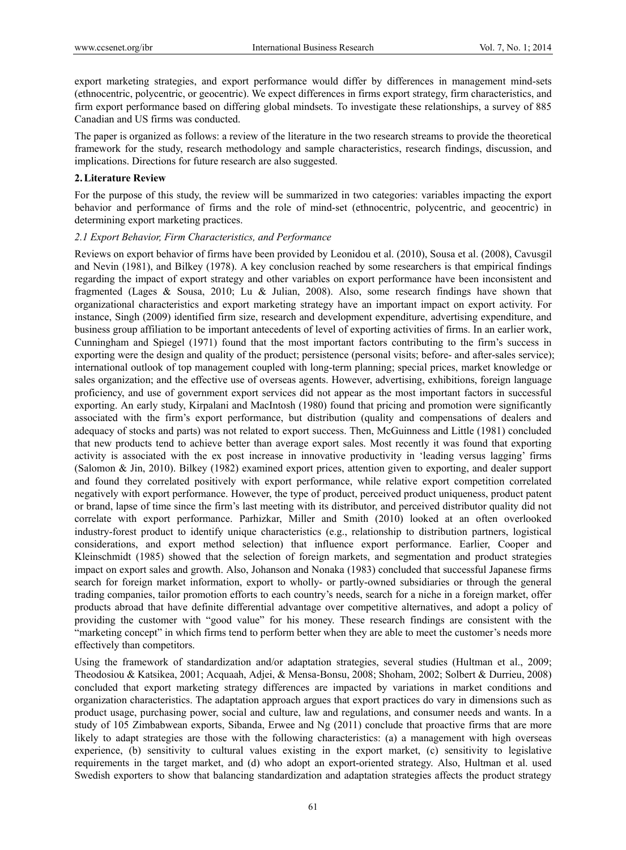export marketing strategies, and export performance would differ by differences in management mind-sets (ethnocentric, polycentric, or geocentric). We expect differences in firms export strategy, firm characteristics, and firm export performance based on differing global mindsets. To investigate these relationships, a survey of 885 Canadian and US firms was conducted.

The paper is organized as follows: a review of the literature in the two research streams to provide the theoretical framework for the study, research methodology and sample characteristics, research findings, discussion, and implications. Directions for future research are also suggested.

## **2.Literature Review**

For the purpose of this study, the review will be summarized in two categories: variables impacting the export behavior and performance of firms and the role of mind-set (ethnocentric, polycentric, and geocentric) in determining export marketing practices.

## *2.1 Export Behavior, Firm Characteristics, and Performance*

Reviews on export behavior of firms have been provided by Leonidou et al. (2010), Sousa et al. (2008), Cavusgil and Nevin (1981), and Bilkey (1978). A key conclusion reached by some researchers is that empirical findings regarding the impact of export strategy and other variables on export performance have been inconsistent and fragmented (Lages & Sousa, 2010; Lu & Julian, 2008). Also, some research findings have shown that organizational characteristics and export marketing strategy have an important impact on export activity. For instance, Singh (2009) identified firm size, research and development expenditure, advertising expenditure, and business group affiliation to be important antecedents of level of exporting activities of firms. In an earlier work, Cunningham and Spiegel (1971) found that the most important factors contributing to the firm's success in exporting were the design and quality of the product; persistence (personal visits; before- and after-sales service); international outlook of top management coupled with long-term planning; special prices, market knowledge or sales organization; and the effective use of overseas agents. However, advertising, exhibitions, foreign language proficiency, and use of government export services did not appear as the most important factors in successful exporting. An early study, Kirpalani and MacIntosh (1980) found that pricing and promotion were significantly associated with the firm's export performance, but distribution (quality and compensations of dealers and adequacy of stocks and parts) was not related to export success. Then, McGuinness and Little (1981) concluded that new products tend to achieve better than average export sales. Most recently it was found that exporting activity is associated with the ex post increase in innovative productivity in 'leading versus lagging' firms (Salomon & Jin, 2010). Bilkey (1982) examined export prices, attention given to exporting, and dealer support and found they correlated positively with export performance, while relative export competition correlated negatively with export performance. However, the type of product, perceived product uniqueness, product patent or brand, lapse of time since the firm's last meeting with its distributor, and perceived distributor quality did not correlate with export performance. Parhizkar, Miller and Smith (2010) looked at an often overlooked industry-forest product to identify unique characteristics (e.g., relationship to distribution partners, logistical considerations, and export method selection) that influence export performance. Earlier, Cooper and Kleinschmidt (1985) showed that the selection of foreign markets, and segmentation and product strategies impact on export sales and growth. Also, Johanson and Nonaka (1983) concluded that successful Japanese firms search for foreign market information, export to wholly- or partly-owned subsidiaries or through the general trading companies, tailor promotion efforts to each country's needs, search for a niche in a foreign market, offer products abroad that have definite differential advantage over competitive alternatives, and adopt a policy of providing the customer with "good value" for his money. These research findings are consistent with the "marketing concept" in which firms tend to perform better when they are able to meet the customer's needs more effectively than competitors.

Using the framework of standardization and/or adaptation strategies, several studies (Hultman et al., 2009; Theodosiou & Katsikea, 2001; Acquaah, Adjei, & Mensa-Bonsu, 2008; Shoham, 2002; Solbert & Durrieu, 2008) concluded that export marketing strategy differences are impacted by variations in market conditions and organization characteristics. The adaptation approach argues that export practices do vary in dimensions such as product usage, purchasing power, social and culture, law and regulations, and consumer needs and wants. In a study of 105 Zimbabwean exports, Sibanda, Erwee and Ng (2011) conclude that proactive firms that are more likely to adapt strategies are those with the following characteristics: (a) a management with high overseas experience, (b) sensitivity to cultural values existing in the export market, (c) sensitivity to legislative requirements in the target market, and (d) who adopt an export-oriented strategy. Also, Hultman et al. used Swedish exporters to show that balancing standardization and adaptation strategies affects the product strategy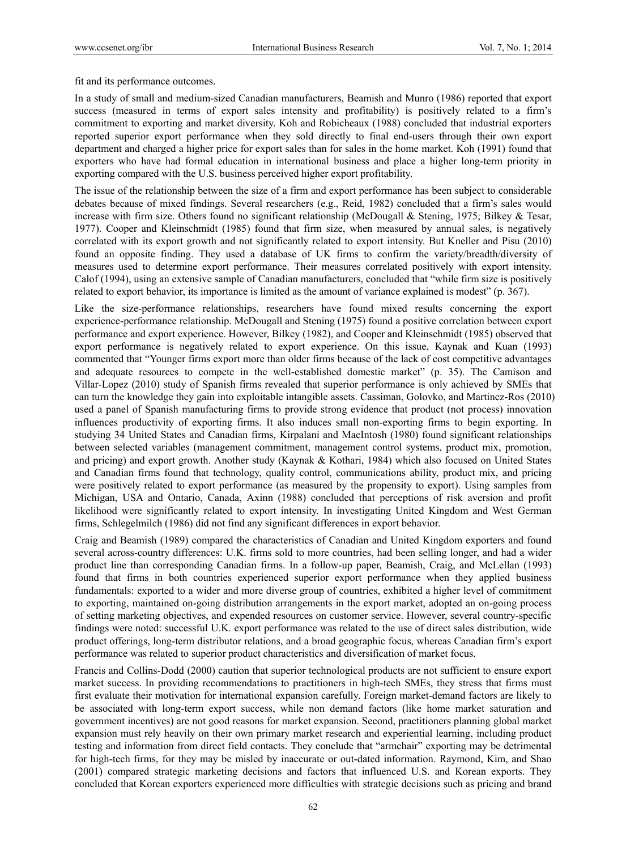fit and its performance outcomes.

In a study of small and medium-sized Canadian manufacturers, Beamish and Munro (1986) reported that export success (measured in terms of export sales intensity and profitability) is positively related to a firm's commitment to exporting and market diversity. Koh and Robicheaux (1988) concluded that industrial exporters reported superior export performance when they sold directly to final end-users through their own export department and charged a higher price for export sales than for sales in the home market. Koh (1991) found that exporters who have had formal education in international business and place a higher long-term priority in exporting compared with the U.S. business perceived higher export profitability.

The issue of the relationship between the size of a firm and export performance has been subject to considerable debates because of mixed findings. Several researchers (e.g., Reid, 1982) concluded that a firm's sales would increase with firm size. Others found no significant relationship (McDougall & Stening, 1975; Bilkey & Tesar, 1977). Cooper and Kleinschmidt (1985) found that firm size, when measured by annual sales, is negatively correlated with its export growth and not significantly related to export intensity. But Kneller and Pisu (2010) found an opposite finding. They used a database of UK firms to confirm the variety/breadth/diversity of measures used to determine export performance. Their measures correlated positively with export intensity. Calof (1994), using an extensive sample of Canadian manufacturers, concluded that "while firm size is positively related to export behavior, its importance is limited as the amount of variance explained is modest" (p. 367).

Like the size-performance relationships, researchers have found mixed results concerning the export experience-performance relationship. McDougall and Stening (1975) found a positive correlation between export performance and export experience. However, Bilkey (1982), and Cooper and Kleinschmidt (1985) observed that export performance is negatively related to export experience. On this issue, Kaynak and Kuan (1993) commented that "Younger firms export more than older firms because of the lack of cost competitive advantages and adequate resources to compete in the well-established domestic market" (p. 35). The Camison and Villar-Lopez (2010) study of Spanish firms revealed that superior performance is only achieved by SMEs that can turn the knowledge they gain into exploitable intangible assets. Cassiman, Golovko, and Martinez-Ros (2010) used a panel of Spanish manufacturing firms to provide strong evidence that product (not process) innovation influences productivity of exporting firms. It also induces small non-exporting firms to begin exporting. In studying 34 United States and Canadian firms, Kirpalani and MacIntosh (1980) found significant relationships between selected variables (management commitment, management control systems, product mix, promotion, and pricing) and export growth. Another study (Kaynak & Kothari, 1984) which also focused on United States and Canadian firms found that technology, quality control, communications ability, product mix, and pricing were positively related to export performance (as measured by the propensity to export). Using samples from Michigan, USA and Ontario, Canada, Axinn (1988) concluded that perceptions of risk aversion and profit likelihood were significantly related to export intensity. In investigating United Kingdom and West German firms, Schlegelmilch (1986) did not find any significant differences in export behavior.

Craig and Beamish (1989) compared the characteristics of Canadian and United Kingdom exporters and found several across-country differences: U.K. firms sold to more countries, had been selling longer, and had a wider product line than corresponding Canadian firms. In a follow-up paper, Beamish, Craig, and McLellan (1993) found that firms in both countries experienced superior export performance when they applied business fundamentals: exported to a wider and more diverse group of countries, exhibited a higher level of commitment to exporting, maintained on-going distribution arrangements in the export market, adopted an on-going process of setting marketing objectives, and expended resources on customer service. However, several country-specific findings were noted: successful U.K. export performance was related to the use of direct sales distribution, wide product offerings, long-term distributor relations, and a broad geographic focus, whereas Canadian firm's export performance was related to superior product characteristics and diversification of market focus.

Francis and Collins-Dodd (2000) caution that superior technological products are not sufficient to ensure export market success. In providing recommendations to practitioners in high-tech SMEs, they stress that firms must first evaluate their motivation for international expansion carefully. Foreign market-demand factors are likely to be associated with long-term export success, while non demand factors (like home market saturation and government incentives) are not good reasons for market expansion. Second, practitioners planning global market expansion must rely heavily on their own primary market research and experiential learning, including product testing and information from direct field contacts. They conclude that "armchair" exporting may be detrimental for high-tech firms, for they may be misled by inaccurate or out-dated information. Raymond, Kim, and Shao (2001) compared strategic marketing decisions and factors that influenced U.S. and Korean exports. They concluded that Korean exporters experienced more difficulties with strategic decisions such as pricing and brand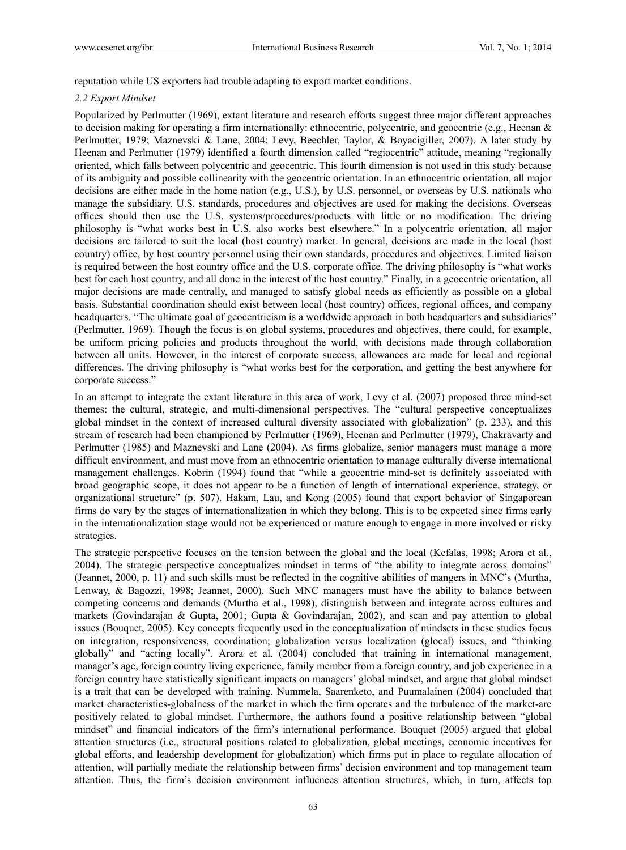reputation while US exporters had trouble adapting to export market conditions.

## *2.2 Export Mindset*

Popularized by Perlmutter (1969), extant literature and research efforts suggest three major different approaches to decision making for operating a firm internationally: ethnocentric, polycentric, and geocentric (e.g., Heenan & Perlmutter, 1979; Maznevski & Lane, 2004; Levy, Beechler, Taylor, & Boyacigiller, 2007). A later study by Heenan and Perlmutter (1979) identified a fourth dimension called "regiocentric" attitude, meaning "regionally oriented, which falls between polycentric and geocentric. This fourth dimension is not used in this study because of its ambiguity and possible collinearity with the geocentric orientation. In an ethnocentric orientation, all major decisions are either made in the home nation (e.g., U.S.), by U.S. personnel, or overseas by U.S. nationals who manage the subsidiary. U.S. standards, procedures and objectives are used for making the decisions. Overseas offices should then use the U.S. systems/procedures/products with little or no modification. The driving philosophy is "what works best in U.S. also works best elsewhere." In a polycentric orientation, all major decisions are tailored to suit the local (host country) market. In general, decisions are made in the local (host country) office, by host country personnel using their own standards, procedures and objectives. Limited liaison is required between the host country office and the U.S. corporate office. The driving philosophy is "what works best for each host country, and all done in the interest of the host country." Finally, in a geocentric orientation, all major decisions are made centrally, and managed to satisfy global needs as efficiently as possible on a global basis. Substantial coordination should exist between local (host country) offices, regional offices, and company headquarters. "The ultimate goal of geocentricism is a worldwide approach in both headquarters and subsidiaries" (Perlmutter, 1969). Though the focus is on global systems, procedures and objectives, there could, for example, be uniform pricing policies and products throughout the world, with decisions made through collaboration between all units. However, in the interest of corporate success, allowances are made for local and regional differences. The driving philosophy is "what works best for the corporation, and getting the best anywhere for corporate success."

In an attempt to integrate the extant literature in this area of work, Levy et al. (2007) proposed three mind-set themes: the cultural, strategic, and multi-dimensional perspectives. The "cultural perspective conceptualizes global mindset in the context of increased cultural diversity associated with globalization" (p. 233), and this stream of research had been championed by Perlmutter (1969), Heenan and Perlmutter (1979), Chakravarty and Perlmutter (1985) and Maznevski and Lane (2004). As firms globalize, senior managers must manage a more difficult environment, and must move from an ethnocentric orientation to manage culturally diverse international management challenges. Kobrin (1994) found that "while a geocentric mind-set is definitely associated with broad geographic scope, it does not appear to be a function of length of international experience, strategy, or organizational structure" (p. 507). Hakam, Lau, and Kong (2005) found that export behavior of Singaporean firms do vary by the stages of internationalization in which they belong. This is to be expected since firms early in the internationalization stage would not be experienced or mature enough to engage in more involved or risky strategies.

The strategic perspective focuses on the tension between the global and the local (Kefalas, 1998; Arora et al., 2004). The strategic perspective conceptualizes mindset in terms of "the ability to integrate across domains" (Jeannet, 2000, p. 11) and such skills must be reflected in the cognitive abilities of mangers in MNC's (Murtha, Lenway, & Bagozzi, 1998; Jeannet, 2000). Such MNC managers must have the ability to balance between competing concerns and demands (Murtha et al., 1998), distinguish between and integrate across cultures and markets (Govindarajan & Gupta, 2001; Gupta & Govindarajan, 2002), and scan and pay attention to global issues (Bouquet, 2005). Key concepts frequently used in the conceptualization of mindsets in these studies focus on integration, responsiveness, coordination; globalization versus localization (glocal) issues, and "thinking globally" and "acting locally". Arora et al. (2004) concluded that training in international management, manager's age, foreign country living experience, family member from a foreign country, and job experience in a foreign country have statistically significant impacts on managers' global mindset, and argue that global mindset is a trait that can be developed with training. Nummela, Saarenketo, and Puumalainen (2004) concluded that market characteristics-globalness of the market in which the firm operates and the turbulence of the market-are positively related to global mindset. Furthermore, the authors found a positive relationship between "global mindset" and financial indicators of the firm's international performance. Bouquet (2005) argued that global attention structures (i.e., structural positions related to globalization, global meetings, economic incentives for global efforts, and leadership development for globalization) which firms put in place to regulate allocation of attention, will partially mediate the relationship between firms' decision environment and top management team attention. Thus, the firm's decision environment influences attention structures, which, in turn, affects top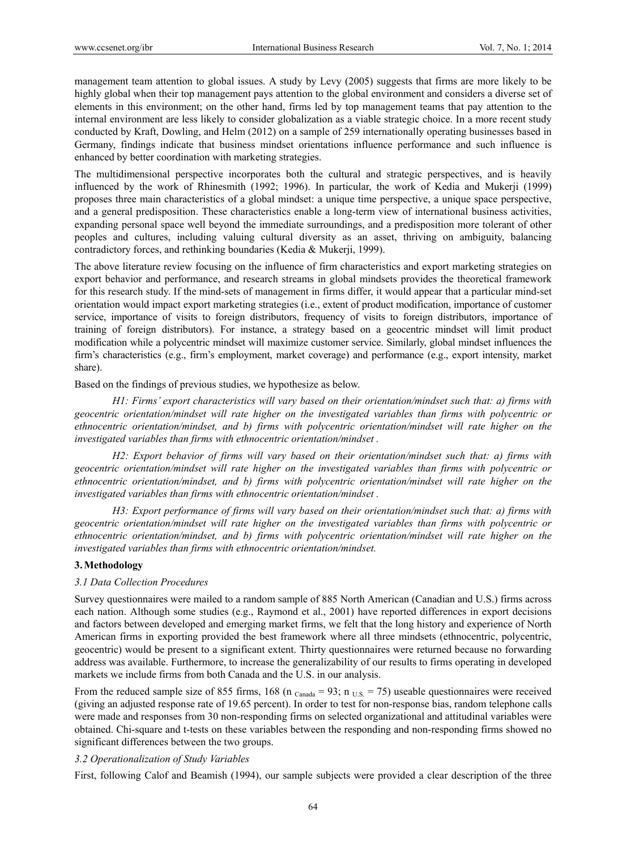management team attention to global issues. A study by Levy (2005) suggests that firms are more likely to be highly global when their top management pays attention to the global environment and considers a diverse set of elements in this environment; on the other hand, firms led by top management teams that pay attention to the internal environment are less likely to consider globalization as a viable strategic choice. In a more recent study conducted by Kraft, Dowling, and Helm (2012) on a sample of 259 internationally operating businesses based in Germany, findings indicate that business mindset orientations influence performance and such influence is enhanced by better coordination with marketing strategies.

The multidimensional perspective incorporates both the cultural and strategic perspectives, and is heavily influenced by the work of Rhinesmith (1992; 1996). In particular, the work of Kedia and Mukerji (1999) proposes three main characteristics of a global mindset: a unique time perspective, a unique space perspective, and a general predisposition. These characteristics enable a long-term view of international business activities, expanding personal space well beyond the immediate surroundings, and a predisposition more tolerant of other peoples and cultures, including valuing cultural diversity as an asset, thriving on ambiguity, balancing contradictory forces, and rethinking boundaries (Kedia & Mukerji, 1999).

The above literature review focusing on the influence of firm characteristics and export marketing strategies on export behavior and performance, and research streams in global mindsets provides the theoretical framework for this research study. If the mind-sets of management in firms differ, it would appear that a particular mind-set orientation would impact export marketing strategies (i.e., extent of product modification, importance of customer service, importance of visits to foreign distributors, frequency of visits to foreign distributors, importance of training of foreign distributors). For instance, a strategy based on a geocentric mindset will limit product modification while a polycentric mindset will maximize customer service. Similarly, global mindset influences the firm's characteristics (e.g., firm's employment, market coverage) and performance (e.g., export intensity, market share).

Based on the findings of previous studies, we hypothesize as below.

*H1: Firms' export characteristics will vary based on their orientation/mindset such that: a) firms with geocentric orientation/mindset will rate higher on the investigated variables than firms with polycentric or ethnocentric orientation/mindset, and b) firms with polycentric orientation/mindset will rate higher on the investigated variables than firms with ethnocentric orientation/mindset .* 

*H2: Export behavior of firms will vary based on their orientation/mindset such that: a) firms with geocentric orientation/mindset will rate higher on the investigated variables than firms with polycentric or ethnocentric orientation/mindset, and b) firms with polycentric orientation/mindset will rate higher on the investigated variables than firms with ethnocentric orientation/mindset .* 

*H3: Export performance of firms will vary based on their orientation/mindset such that: a) firms with geocentric orientation/mindset will rate higher on the investigated variables than firms with polycentric or ethnocentric orientation/mindset, and b) firms with polycentric orientation/mindset will rate higher on the investigated variables than firms with ethnocentric orientation/mindset.* 

## **3.Methodology**

# *3.1 Data Collection Procedures*

Survey questionnaires were mailed to a random sample of 885 North American (Canadian and U.S.) firms across each nation. Although some studies (e.g., Raymond et al., 2001) have reported differences in export decisions and factors between developed and emerging market firms, we felt that the long history and experience of North American firms in exporting provided the best framework where all three mindsets (ethnocentric, polycentric, geocentric) would be present to a significant extent. Thirty questionnaires were returned because no forwarding address was available. Furthermore, to increase the generalizability of our results to firms operating in developed markets we include firms from both Canada and the U.S. in our analysis.

From the reduced sample size of 855 firms, 168 (n  $_{\text{Canada}} = 93$ ; n  $_{\text{US}} = 75$ ) useable questionnaires were received (giving an adjusted response rate of 19.65 percent). In order to test for non-response bias, random telephone calls were made and responses from 30 non-responding firms on selected organizational and attitudinal variables were obtained. Chi-square and t-tests on these variables between the responding and non-responding firms showed no significant differences between the two groups.

## *3.2 Operationalization of Study Variables*

First, following Calof and Beamish (1994), our sample subjects were provided a clear description of the three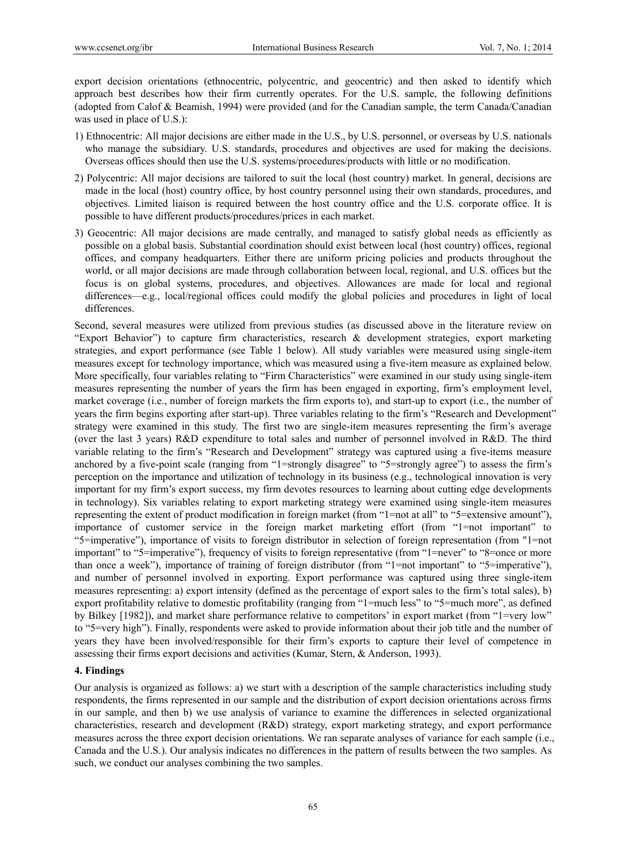export decision orientations (ethnocentric, polycentric, and geocentric) and then asked to identify which approach best describes how their firm currently operates. For the U.S. sample, the following definitions (adopted from Calof & Beamish, 1994) were provided (and for the Canadian sample, the term Canada/Canadian was used in place of U.S.):

- 1) Ethnocentric: All major decisions are either made in the U.S., by U.S. personnel, or overseas by U.S. nationals who manage the subsidiary. U.S. standards, procedures and objectives are used for making the decisions. Overseas offices should then use the U.S. systems/procedures/products with little or no modification.
- 2) Polycentric: All major decisions are tailored to suit the local (host country) market. In general, decisions are made in the local (host) country office, by host country personnel using their own standards, procedures, and objectives. Limited liaison is required between the host country office and the U.S. corporate office. It is possible to have different products/procedures/prices in each market.
- 3) Geocentric: All major decisions are made centrally, and managed to satisfy global needs as efficiently as possible on a global basis. Substantial coordination should exist between local (host country) offices, regional offices, and company headquarters. Either there are uniform pricing policies and products throughout the world, or all major decisions are made through collaboration between local, regional, and U.S. offices but the focus is on global systems, procedures, and objectives. Allowances are made for local and regional differences—e.g., local/regional offices could modify the global policies and procedures in light of local differences.

Second, several measures were utilized from previous studies (as discussed above in the literature review on "Export Behavior") to capture firm characteristics, research & development strategies, export marketing strategies, and export performance (see Table 1 below). All study variables were measured using single-item measures except for technology importance, which was measured using a five-item measure as explained below. More specifically, four variables relating to "Firm Characteristics" were examined in our study using single-item measures representing the number of years the firm has been engaged in exporting, firm's employment level, market coverage (i.e., number of foreign markets the firm exports to), and start-up to export (i.e., the number of years the firm begins exporting after start-up). Three variables relating to the firm's "Research and Development" strategy were examined in this study. The first two are single-item measures representing the firm's average (over the last 3 years) R&D expenditure to total sales and number of personnel involved in R&D. The third variable relating to the firm's "Research and Development" strategy was captured using a five-items measure anchored by a five-point scale (ranging from "1=strongly disagree" to "5=strongly agree") to assess the firm's perception on the importance and utilization of technology in its business (e.g., technological innovation is very important for my firm's export success, my firm devotes resources to learning about cutting edge developments in technology). Six variables relating to export marketing strategy were examined using single-item measures representing the extent of product modification in foreign market (from "1=not at all" to "5=extensive amount"), importance of customer service in the foreign market marketing effort (from "1=not important" to "5=imperative"), importance of visits to foreign distributor in selection of foreign representation (from "1=not important" to "5=imperative"), frequency of visits to foreign representative (from "1=never" to "8=once or more than once a week"), importance of training of foreign distributor (from "1=not important" to "5=imperative"), and number of personnel involved in exporting. Export performance was captured using three single-item measures representing: a) export intensity (defined as the percentage of export sales to the firm's total sales), b) export profitability relative to domestic profitability (ranging from "1=much less" to "5=much more", as defined by Bilkey [1982]), and market share performance relative to competitors' in export market (from "1=very low" to "5=very high"). Finally, respondents were asked to provide information about their job title and the number of years they have been involved/responsible for their firm's exports to capture their level of competence in assessing their firms export decisions and activities (Kumar, Stern, & Anderson, 1993).

# **4. Findings**

Our analysis is organized as follows: a) we start with a description of the sample characteristics including study respondents, the firms represented in our sample and the distribution of export decision orientations across firms in our sample, and then b) we use analysis of variance to examine the differences in selected organizational characteristics, research and development (R&D) strategy, export marketing strategy, and export performance measures across the three export decision orientations. We ran separate analyses of variance for each sample (i.e., Canada and the U.S.). Our analysis indicates no differences in the pattern of results between the two samples. As such, we conduct our analyses combining the two samples.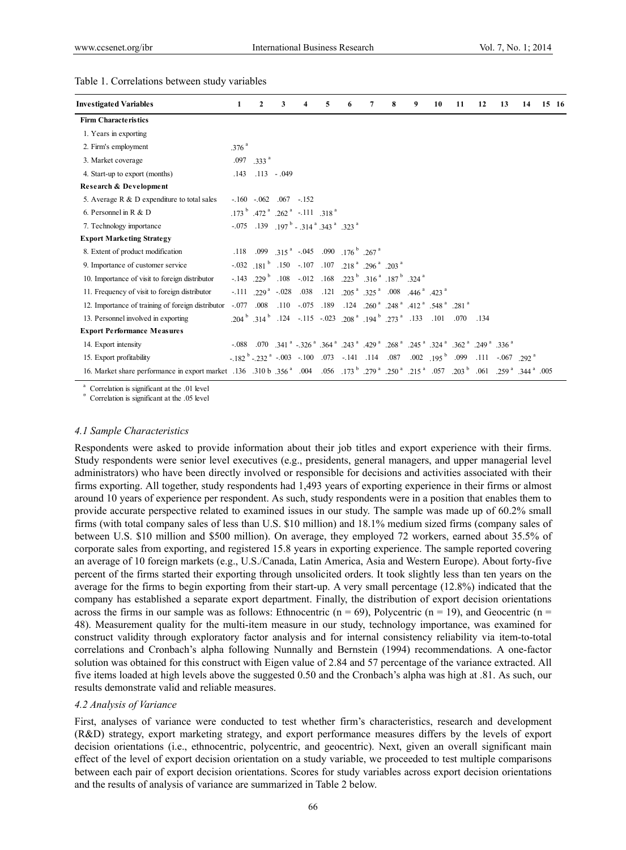| <b>Investigated Variables</b>                                                                                                                                                                                                  | 1                 | $\boldsymbol{2}$           | 3             | 4                                                                                                                                                     | 5 | 6 | 8 | 9 | 10 | 11 | 12   | 13 | 14 | 15 16 |
|--------------------------------------------------------------------------------------------------------------------------------------------------------------------------------------------------------------------------------|-------------------|----------------------------|---------------|-------------------------------------------------------------------------------------------------------------------------------------------------------|---|---|---|---|----|----|------|----|----|-------|
| <b>Firm Characteristics</b>                                                                                                                                                                                                    |                   |                            |               |                                                                                                                                                       |   |   |   |   |    |    |      |    |    |       |
| 1. Years in exporting                                                                                                                                                                                                          |                   |                            |               |                                                                                                                                                       |   |   |   |   |    |    |      |    |    |       |
| 2. Firm's employment                                                                                                                                                                                                           | .376 <sup>a</sup> |                            |               |                                                                                                                                                       |   |   |   |   |    |    |      |    |    |       |
| 3. Market coverage                                                                                                                                                                                                             |                   | $.097$ $.333$ <sup>a</sup> |               |                                                                                                                                                       |   |   |   |   |    |    |      |    |    |       |
| 4. Start-up to export (months)                                                                                                                                                                                                 | .143              |                            | $.113 - .049$ |                                                                                                                                                       |   |   |   |   |    |    |      |    |    |       |
| Research & Development                                                                                                                                                                                                         |                   |                            |               |                                                                                                                                                       |   |   |   |   |    |    |      |    |    |       |
| 5. Average $R \& D$ expenditure to total sales                                                                                                                                                                                 |                   | $-.160-.062-.067-.152$     |               |                                                                                                                                                       |   |   |   |   |    |    |      |    |    |       |
| 6. Personnel in $R & D$                                                                                                                                                                                                        |                   |                            |               | $.173^{b}$ $.472^{a}$ $.262^{a}$ $-.111$ $.318^{a}$                                                                                                   |   |   |   |   |    |    |      |    |    |       |
| 7. Technology importance                                                                                                                                                                                                       |                   |                            |               | $-0.075$ . 139 . 197 <sup>b</sup> - .314 <sup>a</sup> .343 <sup>a</sup> .323 <sup>a</sup>                                                             |   |   |   |   |    |    |      |    |    |       |
| <b>Export Marketing Strategy</b>                                                                                                                                                                                               |                   |                            |               |                                                                                                                                                       |   |   |   |   |    |    |      |    |    |       |
| 8. Extent of product modification                                                                                                                                                                                              |                   |                            |               | .118 .099 .315 <sup>a</sup> -.045 .090 .176 <sup>b</sup> .267 <sup>a</sup>                                                                            |   |   |   |   |    |    |      |    |    |       |
| 9. Importance of customer service                                                                                                                                                                                              |                   |                            |               | $-0.032$ $181^{b}$ $.150$ $-107$ $.107$ $.218^{a}$ $.296^{a}$ $.203^{a}$                                                                              |   |   |   |   |    |    |      |    |    |       |
| 10. Importance of visit to foreign distributor                                                                                                                                                                                 |                   |                            |               | $-143$ $.229$ <sup>b</sup> $.108$ $-012$ $.168$ $.223$ <sup>b</sup> $.316$ <sup>a</sup> $.187$ <sup>b</sup> $.324$ <sup>a</sup>                       |   |   |   |   |    |    |      |    |    |       |
| 11. Frequency of visit to foreign distributor                                                                                                                                                                                  |                   |                            |               | $-111$ $229^{\text{a}}$ $-028$ $038$ $0.121$ $205^{\text{a}}$ $325^{\text{a}}$ $0.08$ $446^{\text{a}}$ $423^{\text{a}}$                               |   |   |   |   |    |    |      |    |    |       |
| 12. Importance of training of foreign distributor                                                                                                                                                                              |                   |                            |               | $-0.077$ $0.008$ $0.110$ $0.075$ $0.189$ $0.124$ $0.260$ $0.248$ $0.412$ $0.548$ $0.281$ $0.281$                                                      |   |   |   |   |    |    |      |    |    |       |
| 13. Personnel involved in exporting                                                                                                                                                                                            |                   |                            |               | .204 <sup>b</sup> .314 <sup>b</sup> .124 -.115 -.023 .208 <sup>a</sup> .194 <sup>b</sup> .273 <sup>a</sup> .133 .101 .070                             |   |   |   |   |    |    | .134 |    |    |       |
| <b>Export Performance Measures</b>                                                                                                                                                                                             |                   |                            |               |                                                                                                                                                       |   |   |   |   |    |    |      |    |    |       |
| 14. Export intensity                                                                                                                                                                                                           |                   |                            |               | $-0.088$ $-0.070$ $-341$ $^a$ $-326$ $^a$ $-364$ $^a$ $-243$ $^a$ $-429$ $^a$ $-268$ $^a$ $-245$ $^a$ $-324$ $^a$ $-362$ $^a$ $-249$ $^a$ $-336$ $^a$ |   |   |   |   |    |    |      |    |    |       |
| 15. Export profitability                                                                                                                                                                                                       |                   |                            |               | $-182^{b} -232^{a} -003 -100$ 073 - 141 14 087 002 195 <sup>b</sup> 099 111 - 067 292 <sup>a</sup>                                                    |   |   |   |   |    |    |      |    |    |       |
| 005. [179] 161. [179] 179 [179] 279 [179] 279 [179] 279 [179] 161. [179] 161. [189] 164 [189] 164 [189] 164 [189] 164 [189] 164 [189] 164 [189] 164 [189] 164 [189] 179 [189] 179 [189] 179 [189] 184 [189] 184 [189] 184 [189 |                   |                            |               |                                                                                                                                                       |   |   |   |   |    |    |      |    |    |       |

#### Table 1. Correlations between study variables

Correlation is significant at the .01 level

 $b$  Correlation is significant at the .05 level

## *4.1 Sample Characteristics*

Respondents were asked to provide information about their job titles and export experience with their firms. Study respondents were senior level executives (e.g., presidents, general managers, and upper managerial level administrators) who have been directly involved or responsible for decisions and activities associated with their firms exporting. All together, study respondents had 1,493 years of exporting experience in their firms or almost around 10 years of experience per respondent. As such, study respondents were in a position that enables them to provide accurate perspective related to examined issues in our study. The sample was made up of 60.2% small firms (with total company sales of less than U.S. \$10 million) and 18.1% medium sized firms (company sales of between U.S. \$10 million and \$500 million). On average, they employed 72 workers, earned about 35.5% of corporate sales from exporting, and registered 15.8 years in exporting experience. The sample reported covering an average of 10 foreign markets (e.g., U.S./Canada, Latin America, Asia and Western Europe). About forty-five percent of the firms started their exporting through unsolicited orders. It took slightly less than ten years on the average for the firms to begin exporting from their start-up. A very small percentage (12.8%) indicated that the company has established a separate export department. Finally, the distribution of export decision orientations across the firms in our sample was as follows: Ethnocentric ( $n = 69$ ), Polycentric ( $n = 19$ ), and Geocentric ( $n = 19$ ) 48). Measurement quality for the multi-item measure in our study, technology importance, was examined for construct validity through exploratory factor analysis and for internal consistency reliability via item-to-total correlations and Cronbach's alpha following Nunnally and Bernstein (1994) recommendations. A one-factor solution was obtained for this construct with Eigen value of 2.84 and 57 percentage of the variance extracted. All five items loaded at high levels above the suggested 0.50 and the Cronbach's alpha was high at .81. As such, our results demonstrate valid and reliable measures.

#### *4.2 Analysis of Variance*

First, analyses of variance were conducted to test whether firm's characteristics, research and development (R&D) strategy, export marketing strategy, and export performance measures differs by the levels of export decision orientations (i.e., ethnocentric, polycentric, and geocentric). Next, given an overall significant main effect of the level of export decision orientation on a study variable, we proceeded to test multiple comparisons between each pair of export decision orientations. Scores for study variables across export decision orientations and the results of analysis of variance are summarized in Table 2 below.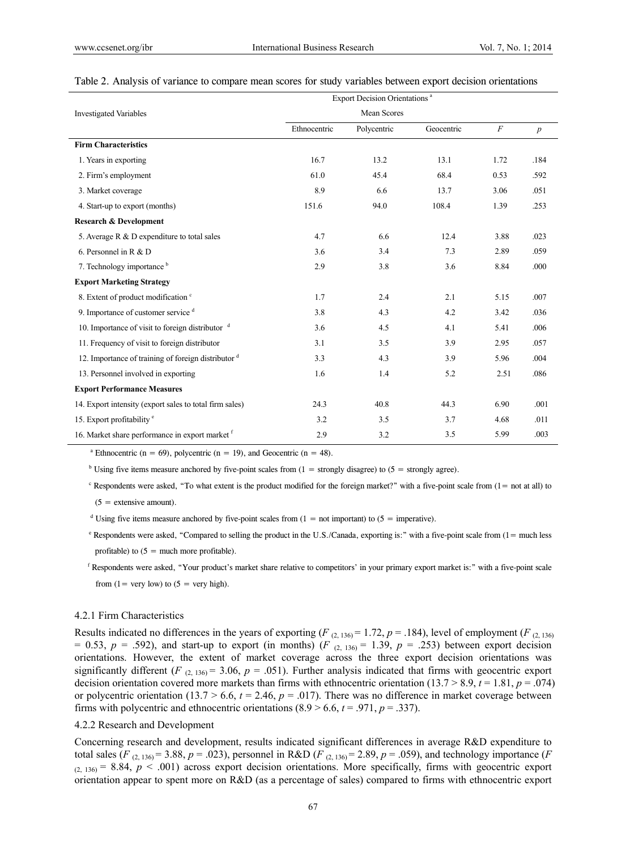#### Table 2. Analysis of variance to compare mean scores for study variables between export decision orientations

|                                                             | Export Decision Orientations <sup>a</sup> |             |            |          |                  |  |  |  |  |
|-------------------------------------------------------------|-------------------------------------------|-------------|------------|----------|------------------|--|--|--|--|
| <b>Investigated Variables</b>                               |                                           |             |            |          |                  |  |  |  |  |
|                                                             | Ethnocentric                              | Polycentric | Geocentric | $\cal F$ | $\boldsymbol{p}$ |  |  |  |  |
| <b>Firm Characteristics</b>                                 |                                           |             |            |          |                  |  |  |  |  |
| 1. Years in exporting                                       | 16.7                                      | 13.2        | 13.1       | 1.72     | .184             |  |  |  |  |
| 2. Firm's employment                                        | 61.0                                      | 45.4        | 68.4       | 0.53     | .592             |  |  |  |  |
| 3. Market coverage                                          | 8.9                                       | 6.6         | 13.7       | 3.06     | .051             |  |  |  |  |
| 4. Start-up to export (months)                              | 151.6                                     | 94.0        | 108.4      | 1.39     | .253             |  |  |  |  |
| <b>Research &amp; Development</b>                           |                                           |             |            |          |                  |  |  |  |  |
| 5. Average $R \& D$ expenditure to total sales              | 4.7                                       | 6.6         | 12.4       | 3.88     | .023             |  |  |  |  |
| 6. Personnel in $R & D$                                     | 3.6                                       | 3.4         | 7.3        | 2.89     | .059             |  |  |  |  |
| 7. Technology importance b                                  | 2.9                                       | 3.8         | 3.6        | 8.84     | .000             |  |  |  |  |
| <b>Export Marketing Strategy</b>                            |                                           |             |            |          |                  |  |  |  |  |
| 8. Extent of product modification c                         | 1.7                                       | 2.4         | 2.1        | 5.15     | .007             |  |  |  |  |
| 9. Importance of customer service d                         | 3.8                                       | 4.3         | 4.2        | 3.42     | .036             |  |  |  |  |
| 10. Importance of visit to foreign distributor $\mathrm{d}$ | 3.6                                       | 4.5         | 4.1        | 5.41     | .006             |  |  |  |  |
| 11. Frequency of visit to foreign distributor               | 3.1                                       | 3.5         | 3.9        | 2.95     | .057             |  |  |  |  |
| 12. Importance of training of foreign distributor d         | 3.3                                       | 4.3         | 3.9        | 5.96     | .004             |  |  |  |  |
| 13. Personnel involved in exporting                         | 1.6                                       | 1.4         | 5.2        | 2.51     | .086             |  |  |  |  |
| <b>Export Performance Measures</b>                          |                                           |             |            |          |                  |  |  |  |  |
| 14. Export intensity (export sales to total firm sales)     | 24.3                                      | 40.8        | 44.3       | 6.90     | .001             |  |  |  |  |
| 15. Export profitability <sup>e</sup>                       | 3.2                                       | 3.5         | 3.7        | 4.68     | .011             |  |  |  |  |
| 16. Market share performance in export market f             | 2.9                                       | 3.2         | 3.5        | 5.99     | .003             |  |  |  |  |

<sup>a</sup> Ethnocentric (n = 69), polycentric (n = 19), and Geocentric (n = 48).

<sup>b</sup> Using five items measure anchored by five-point scales from  $(1 =$  strongly disagree) to  $(5 =$  strongly agree).

 $c$  Respondents were asked, "To what extent is the product modified for the foreign market?" with a five-point scale from  $(1 = not at all)$  to

 $(5 =$  extensive amount).

- <sup>d</sup> Using five items measure anchored by five-point scales from  $(1 = not important)$  to  $(5 = imperative)$ .
	- e Respondents were asked, "Compared to selling the product in the U.S./Canada, exporting is:" with a five-point scale from (1= much less profitable) to  $(5 =$  much more profitable).
	- <sup>f</sup> Respondents were asked, "Your product's market share relative to competitors' in your primary export market is:" with a five-point scale from  $(1 = \text{very low})$  to  $(5 = \text{very high})$ .

#### 4.2.1 Firm Characteristics

Results indicated no differences in the years of exporting  $(F_{(2, 136)} = 1.72, p = .184)$ , level of employment  $(F_{(2, 136)}$ = 0.53,  $p = .592$ ), and start-up to export (in months) ( $F$  (2, 136) = 1.39,  $p = .253$ ) between export decision orientations. However, the extent of market coverage across the three export decision orientations was significantly different (*F*  $_{(2, 136)} = 3.06$ ,  $p = .051$ ). Further analysis indicated that firms with geocentric export decision orientation covered more markets than firms with ethnocentric orientation (13.7 > 8.9,  $t = 1.81$ ,  $p = .074$ ) or polycentric orientation (13.7  $> 6.6$ ,  $t = 2.46$ ,  $p = .017$ ). There was no difference in market coverage between firms with polycentric and ethnocentric orientations  $(8.9 > 6.6, t = .971, p = .337)$ .

#### 4.2.2 Research and Development

Concerning research and development, results indicated significant differences in average R&D expenditure to total sales (*F* (2, 136) = 3.88, *p* = .023), personnel in R&D (*F* (2, 136) = 2.89, *p* = .059), and technology importance (*F*  $(2, 136)$  = 8.84,  $p < .001$ ) across export decision orientations. More specifically, firms with geocentric export orientation appear to spent more on R&D (as a percentage of sales) compared to firms with ethnocentric export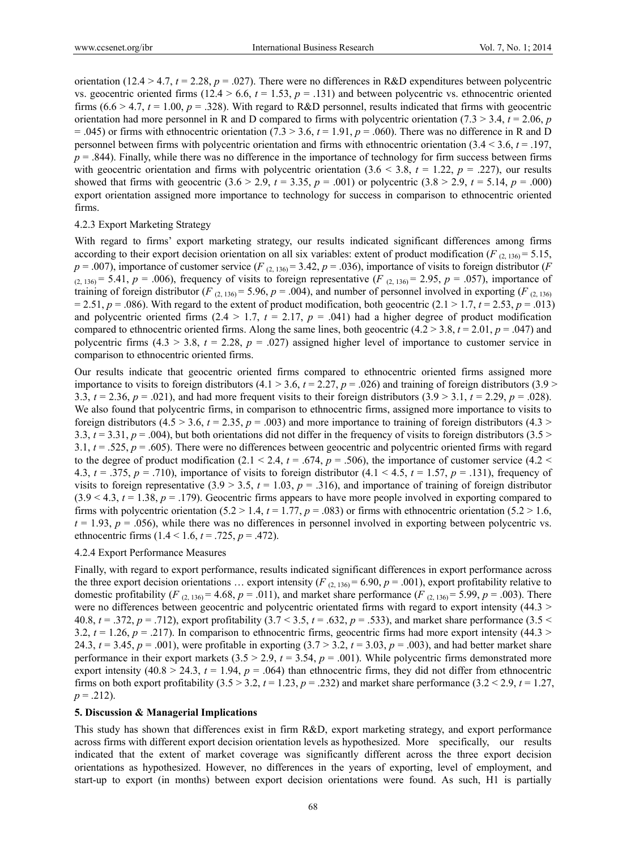orientation (12.4 > 4.7,  $t = 2.28$ ,  $p = .027$ ). There were no differences in R&D expenditures between polycentric vs. geocentric oriented firms  $(12.4 > 6.6, t = 1.53, p = .131)$  and between polycentric vs. ethnocentric oriented firms  $(6.6 > 4.7, t = 1.00, p = .328)$ . With regard to R&D personnel, results indicated that firms with geocentric orientation had more personnel in R and D compared to firms with polycentric orientation (7.3  $>$  3.4,  $t = 2.06$ ,  $p$ )  $= .045$ ) or firms with ethnocentric orientation (7.3 > 3.6,  $t = 1.91$ ,  $p = .060$ ). There was no difference in R and D personnel between firms with polycentric orientation and firms with ethnocentric orientation (3.4 < 3.6, *t* = .197,  $p = .844$ ). Finally, while there was no difference in the importance of technology for firm success between firms with geocentric orientation and firms with polycentric orientation  $(3.6 \le 3.8, t = 1.22, p = .227)$ , our results showed that firms with geocentric  $(3.6 > 2.9, t = 3.35, p = .001)$  or polycentric  $(3.8 > 2.9, t = 5.14, p = .000)$ export orientation assigned more importance to technology for success in comparison to ethnocentric oriented firms.

## 4.2.3 Export Marketing Strategy

With regard to firms' export marketing strategy, our results indicated significant differences among firms according to their export decision orientation on all six variables: extent of product modification ( $F_{(2, 136)} = 5.15$ ,  $p = .007$ ), importance of customer service (*F* (2, 136) = 3.42,  $p = .036$ ), importance of visits to foreign distributor (*F*  $(2, 136)$  = 5.41,  $p = .006$ ), frequency of visits to foreign representative (*F*  $(2, 136)$  = 2.95,  $p = .057$ ), importance of training of foreign distributor (*F* (2, 136) = 5.96,  $p = .004$ ), and number of personnel involved in exporting (*F* (2, 136)  $= 2.51, p = .086$ ). With regard to the extent of product modification, both geocentric (2.1 > 1.7,  $t = 2.53, p = .013$ ) and polycentric oriented firms  $(2.4 > 1.7, t = 2.17, p = .041)$  had a higher degree of product modification compared to ethnocentric oriented firms. Along the same lines, both geocentric  $(4.2 > 3.8, t = 2.01, p = .047)$  and polycentric firms  $(4.3 > 3.8, t = 2.28, p = .027)$  assigned higher level of importance to customer service in comparison to ethnocentric oriented firms.

Our results indicate that geocentric oriented firms compared to ethnocentric oriented firms assigned more importance to visits to foreign distributors  $(4.1 > 3.6, t = 2.27, p = .026)$  and training of foreign distributors  $(3.9 >$ 3.3,  $t = 2.36$ ,  $p = .021$ ), and had more frequent visits to their foreign distributors (3.9 > 3.1,  $t = 2.29$ ,  $p = .028$ ). We also found that polycentric firms, in comparison to ethnocentric firms, assigned more importance to visits to foreign distributors (4.5  $>$  3.6,  $t = 2.35$ ,  $p = .003$ ) and more importance to training of foreign distributors (4.3  $>$ 3.3,  $t = 3.31$ ,  $p = .004$ ), but both orientations did not differ in the frequency of visits to foreign distributors (3.5 > 3.1,  $t = .525$ ,  $p = .605$ ). There were no differences between geocentric and polycentric oriented firms with regard to the degree of product modification (2.1 < 2.4,  $t = .674$ ,  $p = .506$ ), the importance of customer service (4.2 < 4.3,  $t = .375$ ,  $p = .710$ ), importance of visits to foreign distributor (4.1 < 4.5,  $t = 1.57$ ,  $p = .131$ ), frequency of visits to foreign representative  $(3.9 \tImes 3.5, t = 1.03, p = .316)$ , and importance of training of foreign distributor  $(3.9 \le 4.3, t = 1.38, p = .179)$ . Geocentric firms appears to have more people involved in exporting compared to firms with polycentric orientation (5.2 > 1.4,  $t = 1.77$ ,  $p = .083$ ) or firms with ethnocentric orientation (5.2 > 1.6,  $t = 1.93$ ,  $p = .056$ ), while there was no differences in personnel involved in exporting between polycentric vs. ethnocentric firms  $(1.4 < 1.6, t = .725, p = .472)$ .

#### 4.2.4 Export Performance Measures

Finally, with regard to export performance, results indicated significant differences in export performance across the three export decision orientations ... export intensity  $(F_{(2, 136)} = 6.90, p = .001)$ , export profitability relative to domestic profitability (*F* (2, 136) = 4.68,  $p = .011$ ), and market share performance (*F* (2, 136) = 5.99,  $p = .003$ ). There were no differences between geocentric and polycentric orientated firms with regard to export intensity (44.3 > 40.8,  $t = .372$ ,  $p = .712$ ), export profitability  $(3.7 < 3.5, t = .632, p = .533)$ , and market share performance  $(3.5 <$ 3.2,  $t = 1.26$ ,  $p = .217$ ). In comparison to ethnocentric firms, geocentric firms had more export intensity (44.3 > 24.3,  $t = 3.45$ ,  $p = .001$ ), were profitable in exporting  $(3.7 > 3.2, t = 3.03, p = .003)$ , and had better market share performance in their export markets  $(3.5 > 2.9, t = 3.54, p = .001)$ . While polycentric firms demonstrated more export intensity  $(40.8 > 24.3, t = 1.94, p = .064)$  than ethnocentric firms, they did not differ from ethnocentric firms on both export profitability  $(3.5 > 3.2, t = 1.23, p = .232)$  and market share performance  $(3.2 < 2.9, t = 1.27,$  $p = .212$ ).

#### **5. Discussion & Managerial Implications**

This study has shown that differences exist in firm R&D, export marketing strategy, and export performance across firms with different export decision orientation levels as hypothesized. More specifically, our results indicated that the extent of market coverage was significantly different across the three export decision orientations as hypothesized. However, no differences in the years of exporting, level of employment, and start-up to export (in months) between export decision orientations were found. As such, H1 is partially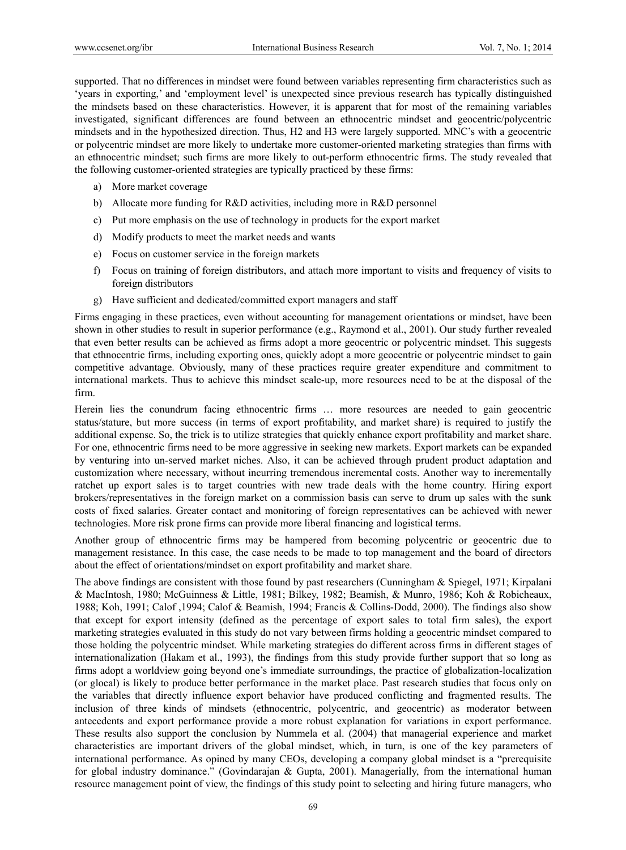supported. That no differences in mindset were found between variables representing firm characteristics such as 'years in exporting,' and 'employment level' is unexpected since previous research has typically distinguished the mindsets based on these characteristics. However, it is apparent that for most of the remaining variables investigated, significant differences are found between an ethnocentric mindset and geocentric/polycentric mindsets and in the hypothesized direction. Thus, H2 and H3 were largely supported. MNC's with a geocentric or polycentric mindset are more likely to undertake more customer-oriented marketing strategies than firms with an ethnocentric mindset; such firms are more likely to out-perform ethnocentric firms. The study revealed that the following customer-oriented strategies are typically practiced by these firms:

- a) More market coverage
- b) Allocate more funding for R&D activities, including more in R&D personnel
- c) Put more emphasis on the use of technology in products for the export market
- d) Modify products to meet the market needs and wants
- e) Focus on customer service in the foreign markets
- f) Focus on training of foreign distributors, and attach more important to visits and frequency of visits to foreign distributors
- g) Have sufficient and dedicated/committed export managers and staff

Firms engaging in these practices, even without accounting for management orientations or mindset, have been shown in other studies to result in superior performance (e.g., Raymond et al., 2001). Our study further revealed that even better results can be achieved as firms adopt a more geocentric or polycentric mindset. This suggests that ethnocentric firms, including exporting ones, quickly adopt a more geocentric or polycentric mindset to gain competitive advantage. Obviously, many of these practices require greater expenditure and commitment to international markets. Thus to achieve this mindset scale-up, more resources need to be at the disposal of the firm.

Herein lies the conundrum facing ethnocentric firms … more resources are needed to gain geocentric status/stature, but more success (in terms of export profitability, and market share) is required to justify the additional expense. So, the trick is to utilize strategies that quickly enhance export profitability and market share. For one, ethnocentric firms need to be more aggressive in seeking new markets. Export markets can be expanded by venturing into un-served market niches. Also, it can be achieved through prudent product adaptation and customization where necessary, without incurring tremendous incremental costs. Another way to incrementally ratchet up export sales is to target countries with new trade deals with the home country. Hiring export brokers/representatives in the foreign market on a commission basis can serve to drum up sales with the sunk costs of fixed salaries. Greater contact and monitoring of foreign representatives can be achieved with newer technologies. More risk prone firms can provide more liberal financing and logistical terms.

Another group of ethnocentric firms may be hampered from becoming polycentric or geocentric due to management resistance. In this case, the case needs to be made to top management and the board of directors about the effect of orientations/mindset on export profitability and market share.

The above findings are consistent with those found by past researchers (Cunningham & Spiegel, 1971; Kirpalani & MacIntosh, 1980; McGuinness & Little, 1981; Bilkey, 1982; Beamish, & Munro, 1986; Koh & Robicheaux, 1988; Koh, 1991; Calof ,1994; Calof & Beamish, 1994; Francis & Collins-Dodd, 2000). The findings also show that except for export intensity (defined as the percentage of export sales to total firm sales), the export marketing strategies evaluated in this study do not vary between firms holding a geocentric mindset compared to those holding the polycentric mindset. While marketing strategies do different across firms in different stages of internationalization (Hakam et al., 1993), the findings from this study provide further support that so long as firms adopt a worldview going beyond one's immediate surroundings, the practice of globalization-localization (or glocal) is likely to produce better performance in the market place. Past research studies that focus only on the variables that directly influence export behavior have produced conflicting and fragmented results. The inclusion of three kinds of mindsets (ethnocentric, polycentric, and geocentric) as moderator between antecedents and export performance provide a more robust explanation for variations in export performance. These results also support the conclusion by Nummela et al. (2004) that managerial experience and market characteristics are important drivers of the global mindset, which, in turn, is one of the key parameters of international performance. As opined by many CEOs, developing a company global mindset is a "prerequisite for global industry dominance." (Govindarajan & Gupta, 2001). Managerially, from the international human resource management point of view, the findings of this study point to selecting and hiring future managers, who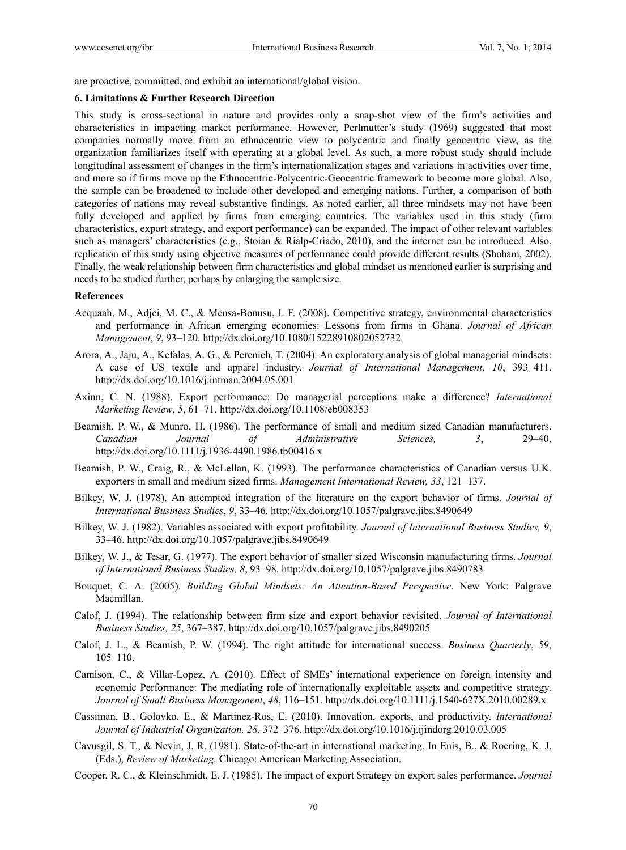are proactive, committed, and exhibit an international/global vision.

#### **6. Limitations & Further Research Direction**

This study is cross-sectional in nature and provides only a snap-shot view of the firm's activities and characteristics in impacting market performance. However, Perlmutter's study (1969) suggested that most companies normally move from an ethnocentric view to polycentric and finally geocentric view, as the organization familiarizes itself with operating at a global level. As such, a more robust study should include longitudinal assessment of changes in the firm's internationalization stages and variations in activities over time, and more so if firms move up the Ethnocentric-Polycentric-Geocentric framework to become more global. Also, the sample can be broadened to include other developed and emerging nations. Further, a comparison of both categories of nations may reveal substantive findings. As noted earlier, all three mindsets may not have been fully developed and applied by firms from emerging countries. The variables used in this study (firm characteristics, export strategy, and export performance) can be expanded. The impact of other relevant variables such as managers' characteristics (e.g., Stoian & Rialp-Criado, 2010), and the internet can be introduced. Also, replication of this study using objective measures of performance could provide different results (Shoham, 2002). Finally, the weak relationship between firm characteristics and global mindset as mentioned earlier is surprising and needs to be studied further, perhaps by enlarging the sample size.

#### **References**

- Acquaah, M., Adjei, M. C., & Mensa-Bonusu, I. F. (2008). Competitive strategy, environmental characteristics and performance in African emerging economies: Lessons from firms in Ghana. *Journal of African Management*, *9*, 93–120. http://dx.doi.org/10.1080/15228910802052732
- Arora, A., Jaju, A., Kefalas, A. G., & Perenich, T. (2004). An exploratory analysis of global managerial mindsets: A case of US textile and apparel industry. *Journal of International Management, 10*, 393–411. http://dx.doi.org/10.1016/j.intman.2004.05.001
- Axinn, C. N. (1988). Export performance: Do managerial perceptions make a difference? *International Marketing Review*, *5*, 61–71. http://dx.doi.org/10.1108/eb008353
- Beamish, P. W., & Munro, H. (1986). The performance of small and medium sized Canadian manufacturers. *Canadian Journal of Administrative Sciences, 3*, 29–40. http://dx.doi.org/10.1111/j.1936-4490.1986.tb00416.x
- Beamish, P. W., Craig, R., & McLellan, K. (1993). The performance characteristics of Canadian versus U.K. exporters in small and medium sized firms. *Management International Review, 33*, 121–137.
- Bilkey, W. J. (1978). An attempted integration of the literature on the export behavior of firms. *Journal of International Business Studies*, *9*, 33–46. http://dx.doi.org/10.1057/palgrave.jibs.8490649
- Bilkey, W. J. (1982). Variables associated with export profitability. *Journal of International Business Studies, 9*, 33–46. http://dx.doi.org/10.1057/palgrave.jibs.8490649
- Bilkey, W. J., & Tesar, G. (1977). The export behavior of smaller sized Wisconsin manufacturing firms. *Journal of International Business Studies, 8*, 93–98. http://dx.doi.org/10.1057/palgrave.jibs.8490783
- Bouquet, C. A. (2005). *Building Global Mindsets: An Attention-Based Perspective*. New York: Palgrave Macmillan.
- Calof, J. (1994). The relationship between firm size and export behavior revisited. *Journal of International Business Studies, 25*, 367–387. http://dx.doi.org/10.1057/palgrave.jibs.8490205
- Calof, J. L., & Beamish, P. W. (1994). The right attitude for international success. *Business Quarterly*, *59*, 105–110.
- Camison, C., & Villar-Lopez, A. (2010). Effect of SMEs' international experience on foreign intensity and economic Performance: The mediating role of internationally exploitable assets and competitive strategy. *Journal of Small Business Management*, *48*, 116–151. http://dx.doi.org/10.1111/j.1540-627X.2010.00289.x
- Cassiman, B., Golovko, E., & Martinez-Ros, E. (2010). Innovation, exports, and productivity. *International Journal of Industrial Organization, 28*, 372–376. http://dx.doi.org/10.1016/j.ijindorg.2010.03.005
- Cavusgil, S. T., & Nevin, J. R. (1981). State-of-the-art in international marketing. In Enis, B., & Roering, K. J. (Eds.), *Review of Marketing.* Chicago: American Marketing Association.
- Cooper, R. C., & Kleinschmidt, E. J. (1985). The impact of export Strategy on export sales performance. *Journal*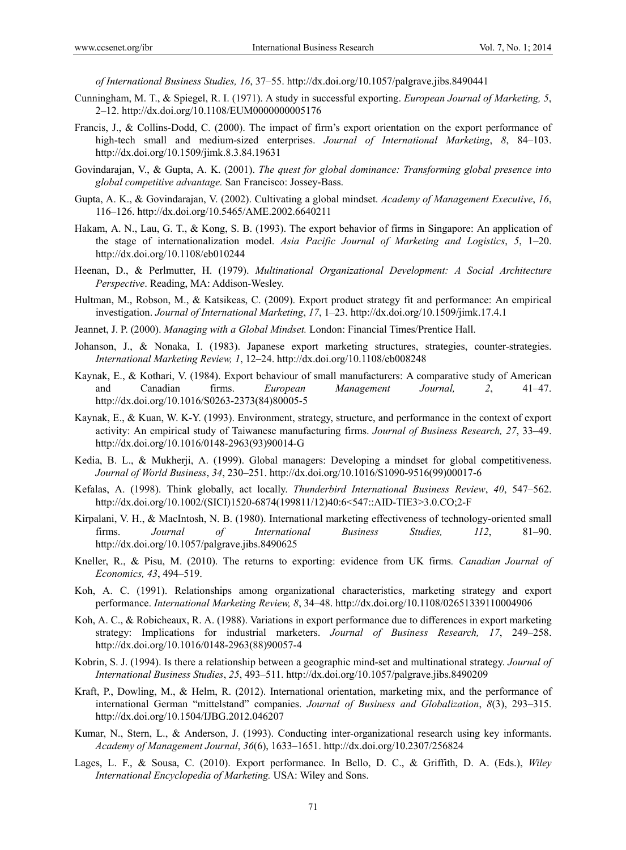*of International Business Studies, 16*, 37–55. http://dx.doi.org/10.1057/palgrave.jibs.8490441

- Cunningham, M. T., & Spiegel, R. I. (1971). A study in successful exporting. *European Journal of Marketing, 5*, 2–12. http://dx.doi.org/10.1108/EUM0000000005176
- Francis, J., & Collins-Dodd, C. (2000). The impact of firm's export orientation on the export performance of high-tech small and medium-sized enterprises. *Journal of International Marketing*, *8*, 84–103. http://dx.doi.org/10.1509/jimk.8.3.84.19631
- Govindarajan, V., & Gupta, A. K. (2001). *The quest for global dominance: Transforming global presence into global competitive advantage.* San Francisco: Jossey-Bass.
- Gupta, A. K., & Govindarajan, V. (2002). Cultivating a global mindset. *Academy of Management Executive*, *16*, 116–126. http://dx.doi.org/10.5465/AME.2002.6640211
- Hakam, A. N., Lau, G. T., & Kong, S. B. (1993). The export behavior of firms in Singapore: An application of the stage of internationalization model. *Asia Pacific Journal of Marketing and Logistics*, *5*, 1–20. http://dx.doi.org/10.1108/eb010244
- Heenan, D., & Perlmutter, H. (1979). *Multinational Organizational Development: A Social Architecture Perspective*. Reading, MA: Addison-Wesley.
- Hultman, M., Robson, M., & Katsikeas, C. (2009). Export product strategy fit and performance: An empirical investigation. *Journal of International Marketing*, *17*, 1–23. http://dx.doi.org/10.1509/jimk.17.4.1
- Jeannet, J. P. (2000). *Managing with a Global Mindset.* London: Financial Times/Prentice Hall.
- Johanson, J., & Nonaka, I. (1983). Japanese export marketing structures, strategies, counter-strategies. *International Marketing Review, 1*, 12–24. http://dx.doi.org/10.1108/eb008248
- Kaynak, E., & Kothari, V. (1984). Export behaviour of small manufacturers: A comparative study of American and Canadian firms. *European Management Journal, 2*, 41–47. http://dx.doi.org/10.1016/S0263-2373(84)80005-5
- Kaynak, E., & Kuan, W. K-Y. (1993). Environment, strategy, structure, and performance in the context of export activity: An empirical study of Taiwanese manufacturing firms. *Journal of Business Research, 27*, 33–49. http://dx.doi.org/10.1016/0148-2963(93)90014-G
- Kedia, B. L., & Mukherji, A. (1999). Global managers: Developing a mindset for global competitiveness. *Journal of World Business*, *34*, 230–251. http://dx.doi.org/10.1016/S1090-9516(99)00017-6
- Kefalas, A. (1998). Think globally, act locally. *Thunderbird International Business Review*, *40*, 547–562. http://dx.doi.org/10.1002/(SICI)1520-6874(199811/12)40:6<547::AID-TIE3>3.0.CO;2-F
- Kirpalani, V. H., & MacIntosh, N. B. (1980). International marketing effectiveness of technology-oriented small firms. *Journal of International Business Studies, 112*, 81–90. http://dx.doi.org/10.1057/palgrave.jibs.8490625
- Kneller, R., & Pisu, M. (2010). The returns to exporting: evidence from UK firms*. Canadian Journal of Economics, 43*, 494–519.
- Koh, A. C. (1991). Relationships among organizational characteristics, marketing strategy and export performance. *International Marketing Review, 8*, 34–48. http://dx.doi.org/10.1108/02651339110004906
- Koh, A. C., & Robicheaux, R. A. (1988). Variations in export performance due to differences in export marketing strategy: Implications for industrial marketers. *Journal of Business Research, 17*, 249–258. http://dx.doi.org/10.1016/0148-2963(88)90057-4
- Kobrin, S. J. (1994). Is there a relationship between a geographic mind-set and multinational strategy. *Journal of International Business Studies*, *25*, 493–511. http://dx.doi.org/10.1057/palgrave.jibs.8490209
- Kraft, P., Dowling, M., & Helm, R. (2012). International orientation, marketing mix, and the performance of international German "mittelstand" companies. *Journal of Business and Globalization*, *8*(3), 293–315. http://dx.doi.org/10.1504/IJBG.2012.046207
- Kumar, N., Stern, L., & Anderson, J. (1993). Conducting inter-organizational research using key informants. *Academy of Management Journal*, *36*(6), 1633–1651. http://dx.doi.org/10.2307/256824
- Lages, L. F., & Sousa, C. (2010). Export performance. In Bello, D. C., & Griffith, D. A. (Eds.), *Wiley International Encyclopedia of Marketing.* USA: Wiley and Sons.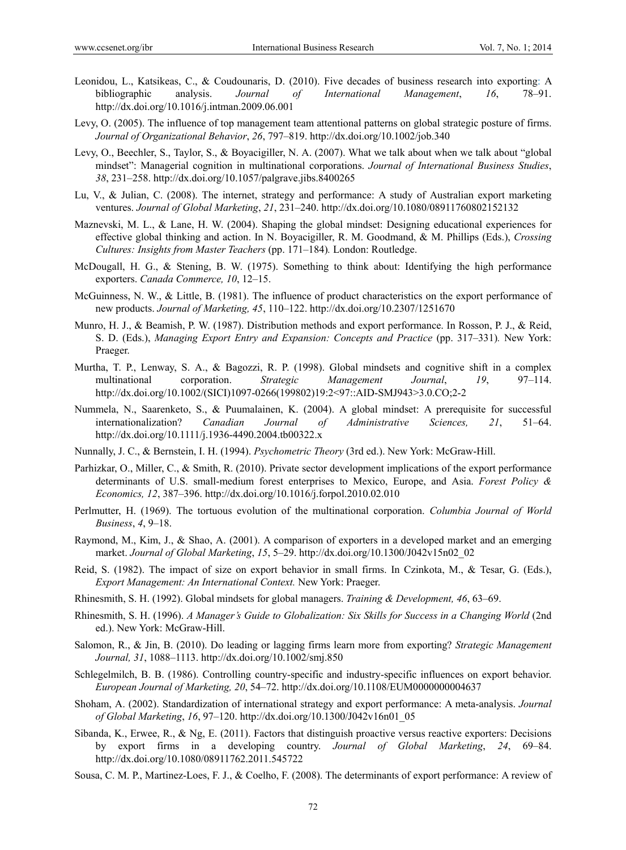- Leonidou, L., Katsikeas, C., & Coudounaris, D. (2010). Five decades of business research into exporting: A bibliographic analysis. *Journal of International Management*, *16*, 78–91. http://dx.doi.org/10.1016/j.intman.2009.06.001
- Levy, O. (2005). The influence of top management team attentional patterns on global strategic posture of firms. *Journal of Organizational Behavior*, *26*, 797–819. http://dx.doi.org/10.1002/job.340
- Levy, O., Beechler, S., Taylor, S., & Boyacigiller, N. A. (2007). What we talk about when we talk about "global mindset": Managerial cognition in multinational corporations. *Journal of International Business Studies*, *38*, 231–258. http://dx.doi.org/10.1057/palgrave.jibs.8400265
- Lu, V., & Julian, C. (2008). The internet, strategy and performance: A study of Australian export marketing ventures. *Journal of Global Marketing*, *21*, 231–240. http://dx.doi.org/10.1080/08911760802152132
- Maznevski, M. L., & Lane, H. W. (2004). Shaping the global mindset: Designing educational experiences for effective global thinking and action. In N. Boyacigiller, R. M. Goodmand, & M. Phillips (Eds.), *Crossing Cultures: Insights from Master Teachers* (pp. 171–184)*.* London: Routledge.
- McDougall, H. G., & Stening, B. W. (1975). Something to think about: Identifying the high performance exporters. *Canada Commerce, 10*, 12–15.
- McGuinness, N. W., & Little, B. (1981). The influence of product characteristics on the export performance of new products. *Journal of Marketing, 45*, 110–122. http://dx.doi.org/10.2307/1251670
- Munro, H. J., & Beamish, P. W. (1987). Distribution methods and export performance. In Rosson, P. J., & Reid, S. D. (Eds.), *Managing Export Entry and Expansion: Concepts and Practice* (pp. 317–331)*.* New York: Praeger.
- Murtha, T. P., Lenway, S. A., & Bagozzi, R. P. (1998). Global mindsets and cognitive shift in a complex multinational corporation. *Strategic Management Journal*, *19*, 97–114. http://dx.doi.org/10.1002/(SICI)1097-0266(199802)19:2<97::AID-SMJ943>3.0.CO;2-2
- Nummela, N., Saarenketo, S., & Puumalainen, K. (2004). A global mindset: A prerequisite for successful internationalization? *Canadian Journal of Administrative Sciences, 21*, 51–64. http://dx.doi.org/10.1111/j.1936-4490.2004.tb00322.x
- Nunnally, J. C., & Bernstein, I. H. (1994). *Psychometric Theory* (3rd ed.). New York: McGraw-Hill.
- Parhizkar, O., Miller, C., & Smith, R. (2010). Private sector development implications of the export performance determinants of U.S. small-medium forest enterprises to Mexico, Europe, and Asia. *Forest Policy & Economics, 12*, 387–396. http://dx.doi.org/10.1016/j.forpol.2010.02.010
- Perlmutter, H. (1969). The tortuous evolution of the multinational corporation. *Columbia Journal of World Business*, *4*, 9–18.
- Raymond, M., Kim, J., & Shao, A. (2001). A comparison of exporters in a developed market and an emerging market. *Journal of Global Marketing*, *15*, 5–29. http://dx.doi.org/10.1300/J042v15n02\_02
- Reid, S. (1982). The impact of size on export behavior in small firms. In Czinkota, M., & Tesar, G. (Eds.), *Export Management: An International Context.* New York: Praeger.
- Rhinesmith, S. H. (1992). Global mindsets for global managers. *Training & Development, 46*, 63–69.
- Rhinesmith, S. H. (1996). *A Manager's Guide to Globalization: Six Skills for Success in a Changing World* (2nd ed.). New York: McGraw-Hill.
- Salomon, R., & Jin, B. (2010). Do leading or lagging firms learn more from exporting? *Strategic Management Journal, 31*, 1088–1113. http://dx.doi.org/10.1002/smj.850
- Schlegelmilch, B. B. (1986). Controlling country-specific and industry-specific influences on export behavior. *European Journal of Marketing, 20*, 54–72. http://dx.doi.org/10.1108/EUM0000000004637
- Shoham, A. (2002). Standardization of international strategy and export performance: A meta-analysis. *Journal of Global Marketing*, *16*, 97–120. http://dx.doi.org/10.1300/J042v16n01\_05
- Sibanda, K., Erwee, R., & Ng, E. (2011). Factors that distinguish proactive versus reactive exporters: Decisions by export firms in a developing country. *Journal of Global Marketing*, *24*, 69–84. http://dx.doi.org/10.1080/08911762.2011.545722
- Sousa, C. M. P., Martinez-Loes, F. J., & Coelho, F. (2008). The determinants of export performance: A review of